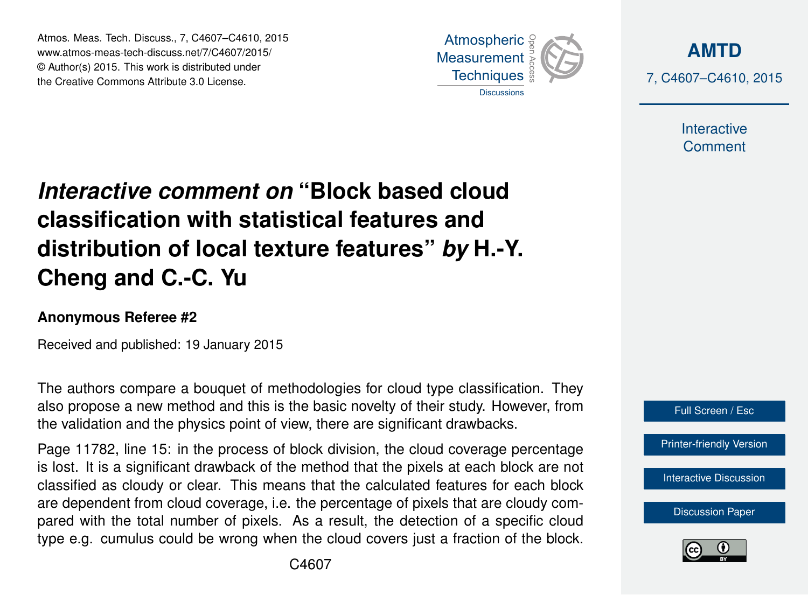Atmos. Meas. Tech. Discuss., 7, C4607–C4610, 2015 www.atmos-meas-tech-discuss.net/7/C4607/2015/ © Author(s) 2015. This work is distributed under the Creative Commons Attribute 3.0 License.



**[AMTD](http://www.atmos-meas-tech-discuss.net)** 7, C4607–C4610, 2015

> Interactive **Comment**

## *Interactive comment on* **"Block based cloud classification with statistical features and distribution of local texture features"** *by* **H.-Y. Cheng and C.-C. Yu**

## **Anonymous Referee #2**

Received and published: 19 January 2015

The authors compare a bouquet of methodologies for cloud type classification. They also propose a new method and this is the basic novelty of their study. However, from the validation and the physics point of view, there are significant drawbacks.

Page 11782, line 15: in the process of block division, the cloud coverage percentage is lost. It is a significant drawback of the method that the pixels at each block are not classified as cloudy or clear. This means that the calculated features for each block are dependent from cloud coverage, i.e. the percentage of pixels that are cloudy compared with the total number of pixels. As a result, the detection of a specific cloud type e.g. cumulus could be wrong when the cloud covers just a fraction of the block.



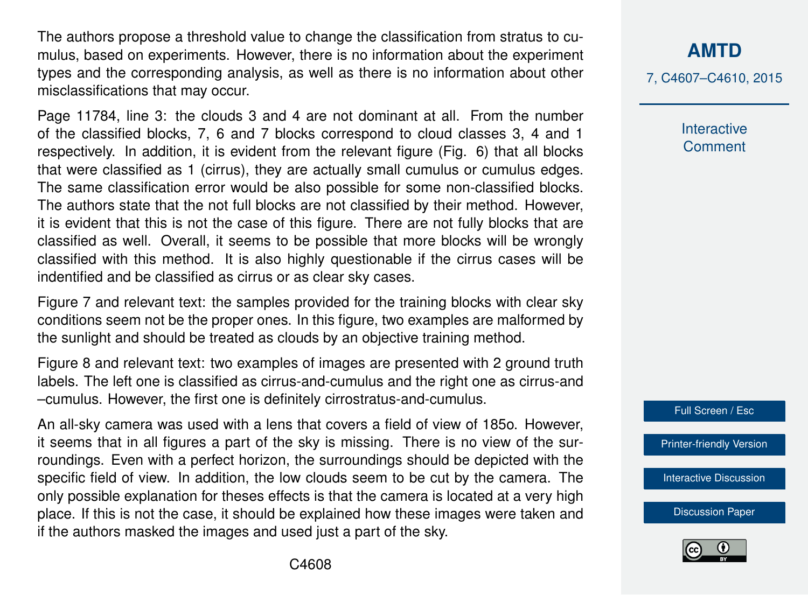The authors propose a threshold value to change the classification from stratus to cumulus, based on experiments. However, there is no information about the experiment types and the corresponding analysis, as well as there is no information about other misclassifications that may occur.

Page 11784, line 3: the clouds 3 and 4 are not dominant at all. From the number of the classified blocks, 7, 6 and 7 blocks correspond to cloud classes 3, 4 and 1 respectively. In addition, it is evident from the relevant figure (Fig. 6) that all blocks that were classified as 1 (cirrus), they are actually small cumulus or cumulus edges. The same classification error would be also possible for some non-classified blocks. The authors state that the not full blocks are not classified by their method. However, it is evident that this is not the case of this figure. There are not fully blocks that are classified as well. Overall, it seems to be possible that more blocks will be wrongly classified with this method. It is also highly questionable if the cirrus cases will be indentified and be classified as cirrus or as clear sky cases.

Figure 7 and relevant text: the samples provided for the training blocks with clear sky conditions seem not be the proper ones. In this figure, two examples are malformed by the sunlight and should be treated as clouds by an objective training method.

Figure 8 and relevant text: two examples of images are presented with 2 ground truth labels. The left one is classified as cirrus-and-cumulus and the right one as cirrus-and –cumulus. However, the first one is definitely cirrostratus-and-cumulus.

An all-sky camera was used with a lens that covers a field of view of 185o. However, it seems that in all figures a part of the sky is missing. There is no view of the surroundings. Even with a perfect horizon, the surroundings should be depicted with the specific field of view. In addition, the low clouds seem to be cut by the camera. The only possible explanation for theses effects is that the camera is located at a very high place. If this is not the case, it should be explained how these images were taken and if the authors masked the images and used just a part of the sky.

**[AMTD](http://www.atmos-meas-tech-discuss.net)**

7, C4607–C4610, 2015

Interactive **Comment** 



[Printer-friendly Version](http://www.atmos-meas-tech-discuss.net/7/C4607/2015/amtd-7-C4607-2015-print.pdf)

[Interactive Discussion](http://www.atmos-meas-tech-discuss.net/7/11771/2014/amtd-7-11771-2014-discussion.html)

[Discussion Paper](http://www.atmos-meas-tech-discuss.net/7/11771/2014/amtd-7-11771-2014.pdf)

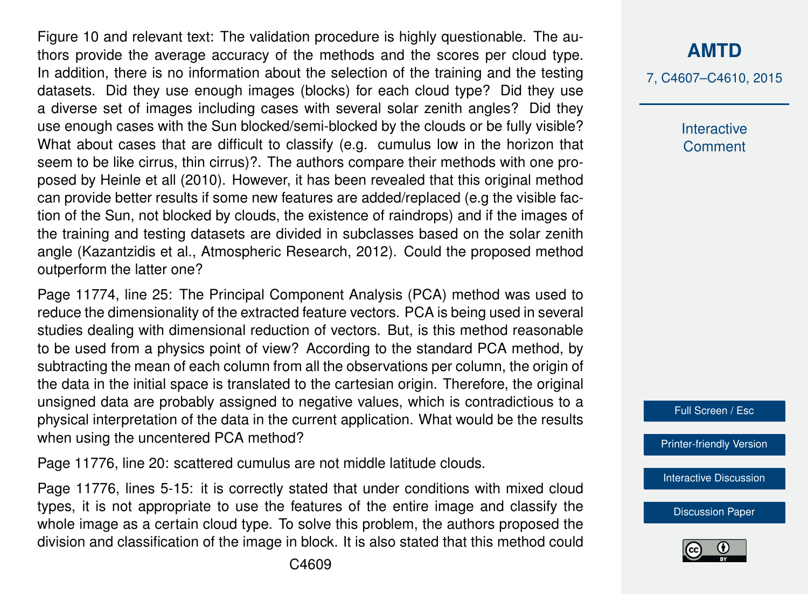Figure 10 and relevant text: The validation procedure is highly questionable. The authors provide the average accuracy of the methods and the scores per cloud type. In addition, there is no information about the selection of the training and the testing datasets. Did they use enough images (blocks) for each cloud type? Did they use a diverse set of images including cases with several solar zenith angles? Did they use enough cases with the Sun blocked/semi-blocked by the clouds or be fully visible? What about cases that are difficult to classify (e.g. cumulus low in the horizon that seem to be like cirrus, thin cirrus)?. The authors compare their methods with one proposed by Heinle et all (2010). However, it has been revealed that this original method can provide better results if some new features are added/replaced (e.g the visible faction of the Sun, not blocked by clouds, the existence of raindrops) and if the images of the training and testing datasets are divided in subclasses based on the solar zenith angle (Kazantzidis et al., Atmospheric Research, 2012). Could the proposed method outperform the latter one?

Page 11774, line 25: The Principal Component Analysis (PCA) method was used to reduce the dimensionality of the extracted feature vectors. PCA is being used in several studies dealing with dimensional reduction of vectors. But, is this method reasonable to be used from a physics point of view? According to the standard PCA method, by subtracting the mean of each column from all the observations per column, the origin of the data in the initial space is translated to the cartesian origin. Therefore, the original unsigned data are probably assigned to negative values, which is contradictious to a physical interpretation of the data in the current application. What would be the results when using the uncentered PCA method?

Page 11776, line 20: scattered cumulus are not middle latitude clouds.

Page 11776, lines 5-15: it is correctly stated that under conditions with mixed cloud types, it is not appropriate to use the features of the entire image and classify the whole image as a certain cloud type. To solve this problem, the authors proposed the division and classification of the image in block. It is also stated that this method could 7, C4607–C4610, 2015

Interactive **Comment** 

Full Screen / Esc

[Printer-friendly Version](http://www.atmos-meas-tech-discuss.net/7/C4607/2015/amtd-7-C4607-2015-print.pdf)

[Interactive Discussion](http://www.atmos-meas-tech-discuss.net/7/11771/2014/amtd-7-11771-2014-discussion.html)

[Discussion Paper](http://www.atmos-meas-tech-discuss.net/7/11771/2014/amtd-7-11771-2014.pdf)